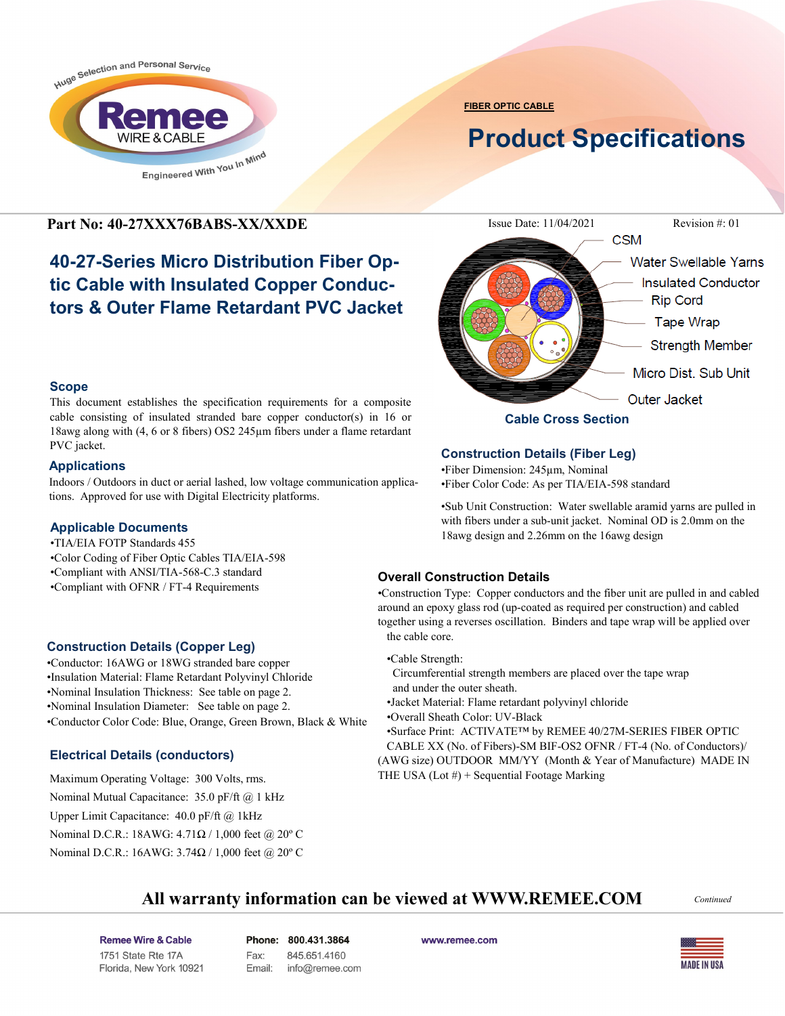

**FIBER OPTIC CABLE**

# **Product Specifications**

**Scope**

PVC jacket. **Applications**

**Applicable Documents** •TIA/EIA FOTP Standards 455

# **40-27-Series Micro Distribution Fiber Optic Cable with Insulated Copper Conductors & Outer Flame Retardant PVC Jacket**

This document establishes the specification requirements for a composite cable consisting of insulated stranded bare copper conductor(s) in 16 or 18awg along with (4, 6 or 8 fibers) OS2 245µm fibers under a flame retardant

Indoors / Outdoors in duct or aerial lashed, low voltage communication applica-

tions. Approved for use with Digital Electricity platforms.

•Conductor Color Code: Blue, Orange, Green Brown, Black & White

•Color Coding of Fiber Optic Cables TIA/EIA-598 •Compliant with ANSI/TIA-568-C.3 standard •Compliant with OFNR / FT-4 Requirements

**Construction Details (Copper Leg)** •Conductor: 16AWG or 18WG stranded bare copper •Insulation Material: Flame Retardant Polyvinyl Chloride •Nominal Insulation Thickness: See table on page 2. •Nominal Insulation Diameter: See table on page 2.

**Electrical Details (conductors)**

Maximum Operating Voltage: 300 Volts, rms. Nominal Mutual Capacitance: 35.0 pF/ft @ 1 kHz Upper Limit Capacitance: 40.0 pF/ft @ 1kHz

Nominal D.C.R.: 18AWG: 4.71Ω / 1,000 feet @ 20º C Nominal D.C.R.: 16AWG: 3.74Ω / 1,000 feet @ 20° C



## **Construction Details (Fiber Leg)**

•Fiber Dimension: 245µm, Nominal •Fiber Color Code: As per TIA/EIA-598 standard

•Sub Unit Construction: Water swellable aramid yarns are pulled in with fibers under a sub-unit jacket. Nominal OD is 2.0mm on the 18awg design and 2.26mm on the 16awg design

#### **Overall Construction Details**

•Construction Type: Copper conductors and the fiber unit are pulled in and cabled around an epoxy glass rod (up-coated as required per construction) and cabled together using a reverses oscillation. Binders and tape wrap will be applied over the cable core.

- •Cable Strength:
- Circumferential strength members are placed over the tape wrap and under the outer sheath.
- •Jacket Material: Flame retardant polyvinyl chloride
- •Overall Sheath Color: UV-Black

•Surface Print: ACTIVATE™ by REMEE 40/27M-SERIES FIBER OPTIC CABLE XX (No. of Fibers)-SM BIF-OS2 OFNR / FT-4 (No. of Conductors)/ (AWG size) OUTDOOR MM/YY (Month & Year of Manufacture) MADE IN THE USA  $(Lot \#) + Sequential Footage$  Marking

## **All warranty information can be viewed at WWW.REMEE.COM**

*Continued*

Remee Wire & Cable Issue No.: 05 Florida, New York 10921 Phone: 800.431.3864 Fax: 845.651.4160 Email: info@remee.com www.remee.com

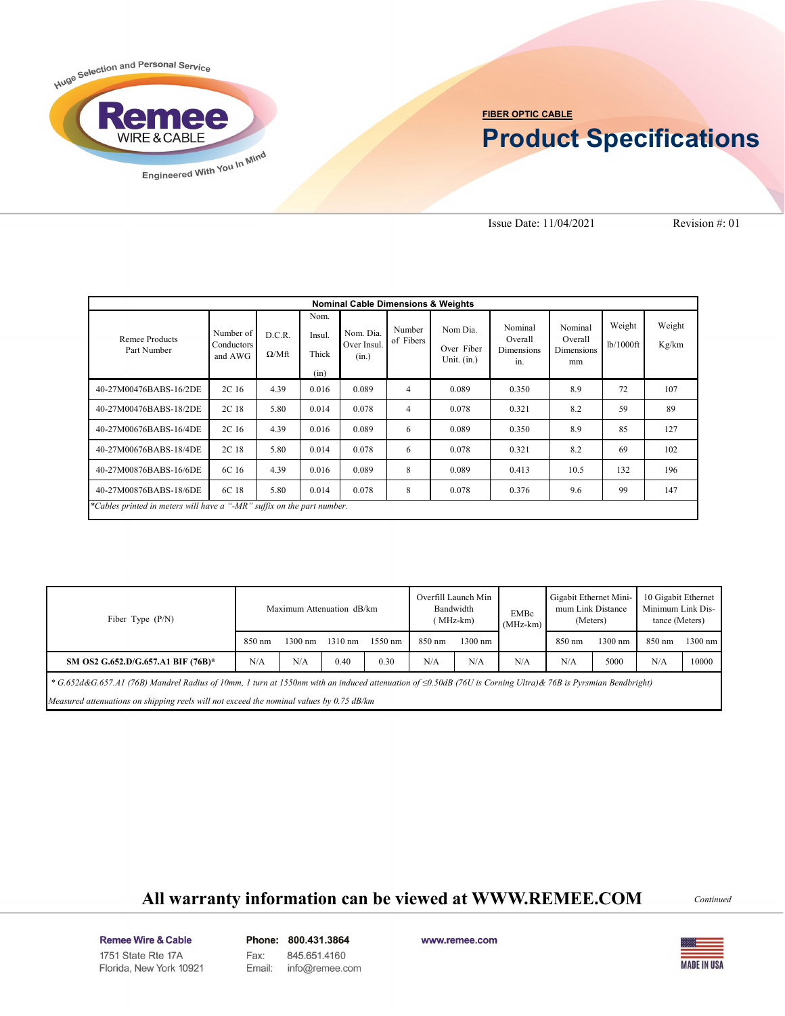

#### **FIBER OPTIC CABLE**

# **Product Specifications**

Issue Date: 11/04/2021 Revision #: 01

| <b>Nominal Cable Dimensions &amp; Weights</b>                          |                                    |                        |                                 |                                   |                     |                                         |                                                |                                               |                     |                 |  |
|------------------------------------------------------------------------|------------------------------------|------------------------|---------------------------------|-----------------------------------|---------------------|-----------------------------------------|------------------------------------------------|-----------------------------------------------|---------------------|-----------------|--|
| Remee Products<br>Part Number                                          | Number of<br>Conductors<br>and AWG | D.C.R.<br>$\Omega/Mft$ | Nom.<br>Insul.<br>Thick<br>(in) | Nom. Dia.<br>Over Insul.<br>(in.) | Number<br>of Fibers | Nom Dia.<br>Over Fiber<br>Unit. $(in.)$ | Nominal<br>Overall<br><b>Dimensions</b><br>in. | Nominal<br>Overall<br><b>Dimensions</b><br>mm | Weight<br>lb/1000ft | Weight<br>Kg/km |  |
| 40-27M00476BABS-16/2DE                                                 | 2C <sub>16</sub>                   | 4.39                   | 0.016                           | 0.089                             | $\overline{4}$      | 0.089                                   | 0.350                                          | 8.9                                           | 72                  | 107             |  |
| 40-27M00476BABS-18/2DE                                                 | 2C 18                              | 5.80                   | 0.014                           | 0.078                             | $\overline{4}$      | 0.078                                   | 0.321                                          | 8.2                                           | 59                  | 89              |  |
| 40-27M00676BABS-16/4DE                                                 | 2C 16                              | 4.39                   | 0.016                           | 0.089                             | 6                   | 0.089                                   | 0.350                                          | 8.9                                           | 85                  | 127             |  |
| 40-27M00676BABS-18/4DE                                                 | 2C 18                              | 5.80                   | 0.014                           | 0.078                             | 6                   | 0.078                                   | 0.321                                          | 8.2                                           | 69                  | 102             |  |
| 40-27M00876BABS-16/6DE                                                 | 6C 16                              | 4.39                   | 0.016                           | 0.089                             | 8                   | 0.089                                   | 0.413                                          | 10.5                                          | 132                 | 196             |  |
| 40-27M00876BABS-18/6DE                                                 | 6C 18                              | 5.80                   | 0.014                           | 0.078                             | 8                   | 0.078                                   | 0.376                                          | 9.6                                           | 99                  | 147             |  |
| *Cables printed in meters will have a "-MR" suffix on the part number. |                                    |                        |                                 |                                   |                     |                                         |                                                |                                               |                     |                 |  |

| Fiber Type $(P/N)$                                                                                                                                                    | Maximum Attenuation dB/km |                   |                   |                   | Overfill Launch Min<br>Bandwidth<br>(MHz-km) |         | <b>EMBc</b><br>$(MHz-km)$ | Gigabit Ethernet Mini-<br>mum Link Distance<br>(Meters) |         | 10 Gigabit Ethernet<br>Minimum Link Dis-<br>tance (Meters) |         |
|-----------------------------------------------------------------------------------------------------------------------------------------------------------------------|---------------------------|-------------------|-------------------|-------------------|----------------------------------------------|---------|---------------------------|---------------------------------------------------------|---------|------------------------------------------------------------|---------|
|                                                                                                                                                                       | 850 nm                    | $1300 \text{ nm}$ | $1310 \text{ nm}$ | $1550 \text{ nm}$ | $850 \text{ nm}$                             | 1300 nm |                           | 850 nm                                                  | 1300 nm | 850 nm                                                     | 1300 nm |
| SM OS2 G.652.D/G.657.A1 BIF (76B)*                                                                                                                                    | N/A                       | N/A               | 0.40              | 0.30              | N/A                                          | N/A     | N/A                       | N/A                                                     | 5000    | N/A                                                        | 10000   |
| * $G.652d\&G.657.A1$ (76B) Mandrel Radius of 10mm, 1 turn at 1550nm with an induced attenuation of $\leq 0.50dB$ (76U is Corning Ultra) & 76B is Pyrsmian Bendbright) |                           |                   |                   |                   |                                              |         |                           |                                                         |         |                                                            |         |
| Measured attenuations on shipping reels will not exceed the nominal values by 0.75 dB/km                                                                              |                           |                   |                   |                   |                                              |         |                           |                                                         |         |                                                            |         |

# **All warranty information can be viewed at WWW.REMEE.COM** *Continued*

Remee Wire & Cable Issue No.: 05 Florida, New York 10921 Phone: 800.431.3864 Fax: 845.651.4160 Email: info@remee.com www.remee.com